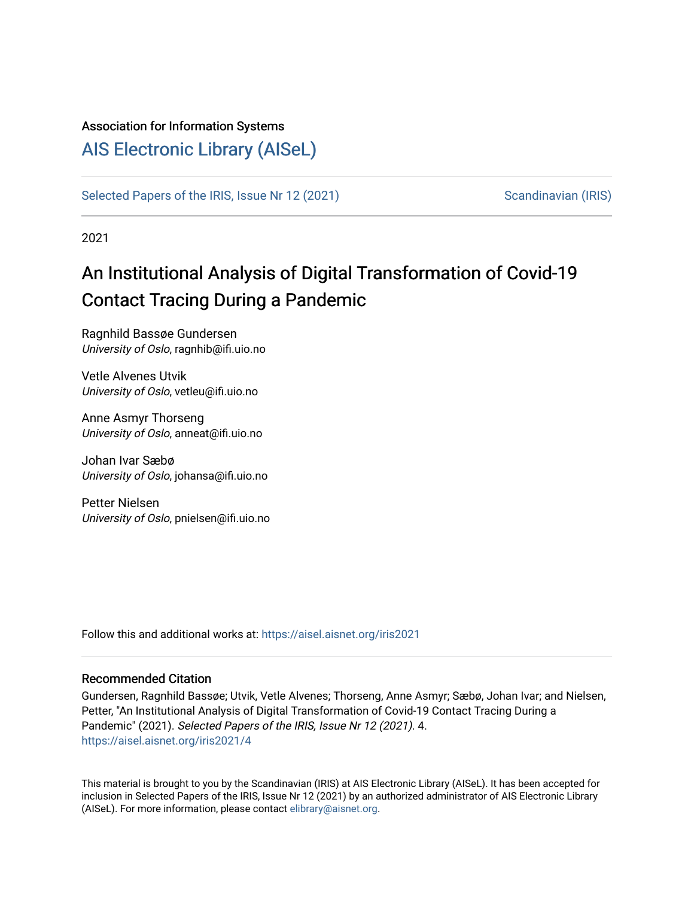#### Association for Information Systems

## [AIS Electronic Library \(AISeL\)](https://aisel.aisnet.org/)

[Selected Papers of the IRIS, Issue Nr 12 \(2021\)](https://aisel.aisnet.org/iris2021) [Scandinavian \(IRIS\)](https://aisel.aisnet.org/iris) Scandinavian (IRIS)

2021

# An Institutional Analysis of Digital Transformation of Covid-19 Contact Tracing During a Pandemic

Ragnhild Bassøe Gundersen University of Oslo, ragnhib@ifi.uio.no

Vetle Alvenes Utvik University of Oslo, vetleu@ifi.uio.no

Anne Asmyr Thorseng University of Oslo, anneat@ifi.uio.no

Johan Ivar Sæbø University of Oslo, johansa@ifi.uio.no

Petter Nielsen University of Oslo, pnielsen@ifi.uio.no

Follow this and additional works at: [https://aisel.aisnet.org/iris2021](https://aisel.aisnet.org/iris2021?utm_source=aisel.aisnet.org%2Firis2021%2F4&utm_medium=PDF&utm_campaign=PDFCoverPages) 

#### Recommended Citation

Gundersen, Ragnhild Bassøe; Utvik, Vetle Alvenes; Thorseng, Anne Asmyr; Sæbø, Johan Ivar; and Nielsen, Petter, "An Institutional Analysis of Digital Transformation of Covid-19 Contact Tracing During a Pandemic" (2021). Selected Papers of the IRIS, Issue Nr 12 (2021). 4. [https://aisel.aisnet.org/iris2021/4](https://aisel.aisnet.org/iris2021/4?utm_source=aisel.aisnet.org%2Firis2021%2F4&utm_medium=PDF&utm_campaign=PDFCoverPages) 

This material is brought to you by the Scandinavian (IRIS) at AIS Electronic Library (AISeL). It has been accepted for inclusion in Selected Papers of the IRIS, Issue Nr 12 (2021) by an authorized administrator of AIS Electronic Library (AISeL). For more information, please contact [elibrary@aisnet.org](mailto:elibrary@aisnet.org%3E).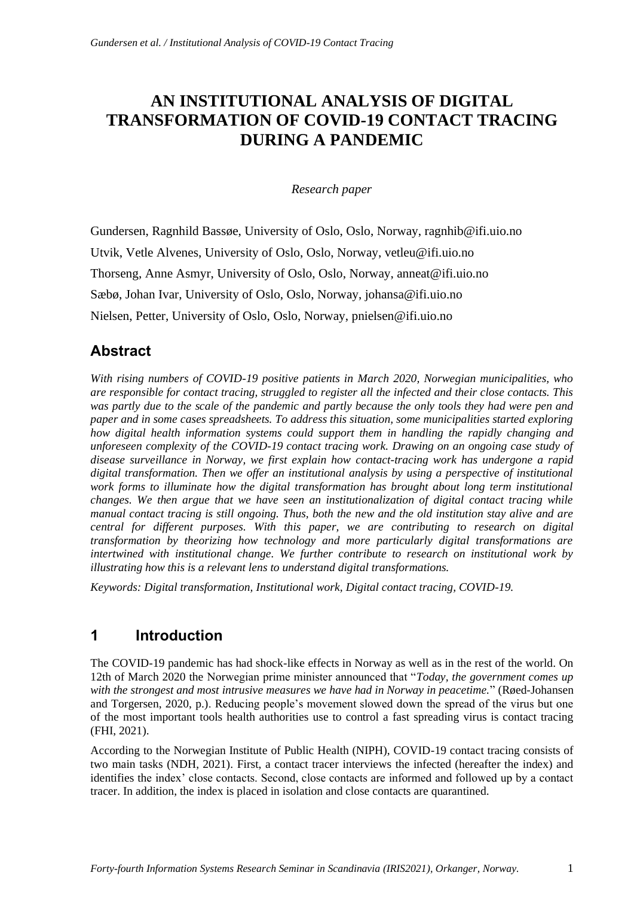# **AN INSTITUTIONAL ANALYSIS OF DIGITAL TRANSFORMATION OF COVID-19 CONTACT TRACING DURING A PANDEMIC**

*Research paper*

Gundersen, Ragnhild Bassøe, University of Oslo, Oslo, Norway, ragnhib@ifi.uio.no Utvik, Vetle Alvenes, University of Oslo, Oslo, Norway, vetleu@ifi.uio.no Thorseng, Anne Asmyr, University of Oslo, Oslo, Norway, anneat@ifi.uio.no Sæbø, Johan Ivar, University of Oslo, Oslo, Norway, johansa@ifi.uio.no Nielsen, Petter, University of Oslo, Oslo, Norway, pnielsen@ifi.uio.no

## **Abstract**

*With rising numbers of COVID-19 positive patients in March 2020, Norwegian municipalities, who are responsible for contact tracing, struggled to register all the infected and their close contacts. This was partly due to the scale of the pandemic and partly because the only tools they had were pen and paper and in some cases spreadsheets. To address this situation, some municipalities started exploring how digital health information systems could support them in handling the rapidly changing and unforeseen complexity of the COVID-19 contact tracing work. Drawing on an ongoing case study of disease surveillance in Norway, we first explain how contact-tracing work has undergone a rapid digital transformation. Then we offer an institutional analysis by using a perspective of institutional*  work forms to illuminate how the digital transformation has brought about long term institutional *changes. We then argue that we have seen an institutionalization of digital contact tracing while manual contact tracing is still ongoing. Thus, both the new and the old institution stay alive and are central for different purposes. With this paper, we are contributing to research on digital transformation by theorizing how technology and more particularly digital transformations are intertwined with institutional change. We further contribute to research on institutional work by illustrating how this is a relevant lens to understand digital transformations.*

*Keywords: Digital transformation, Institutional work, Digital contact tracing, COVID-19.*

## **1 Introduction**

The COVID-19 pandemic has had shock-like effects in Norway as well as in the rest of the world. On 12th of March 2020 the Norwegian prime minister announced that "*Today, the government comes up with the strongest and most intrusive measures we have had in Norway in peacetime.*" (Røed-Johansen and Torgersen, 2020, p.). Reducing people's movement slowed down the spread of the virus but one of the most important tools health authorities use to control a fast spreading virus is contact tracing (FHI, 2021).

According to the Norwegian Institute of Public Health (NIPH), COVID-19 contact tracing consists of two main tasks (NDH, 2021). First, a contact tracer interviews the infected (hereafter the index) and identifies the index' close contacts. Second, close contacts are informed and followed up by a contact tracer. In addition, the index is placed in isolation and close contacts are quarantined.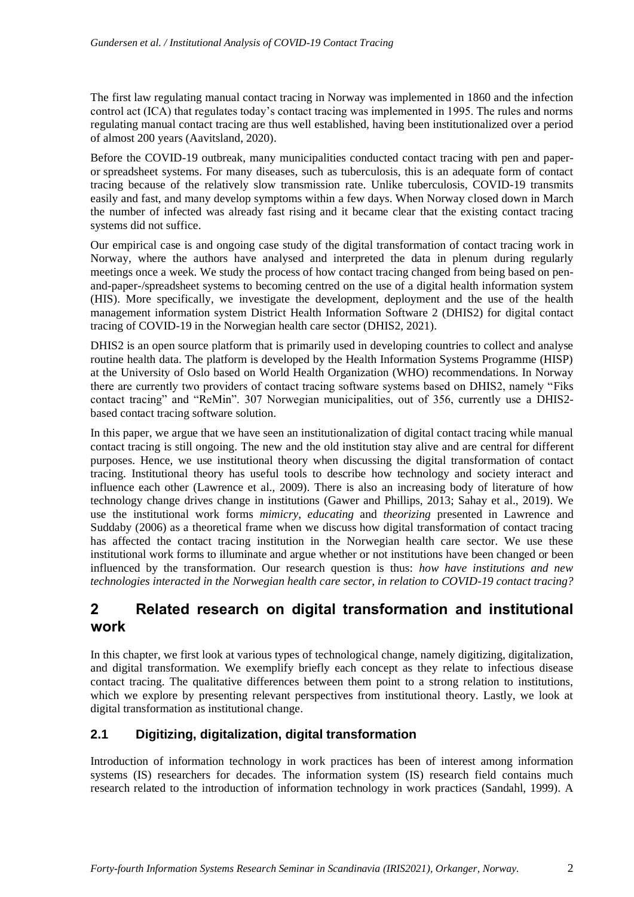The first law regulating manual contact tracing in Norway was implemented in 1860 and the infection control act (ICA) that regulates today's contact tracing was implemented in 1995. The rules and norms regulating manual contact tracing are thus well established, having been institutionalized over a period of almost 200 years (Aavitsland, 2020).

Before the COVID-19 outbreak, many municipalities conducted contact tracing with pen and paperor spreadsheet systems. For many diseases, such as tuberculosis, this is an adequate form of contact tracing because of the relatively slow transmission rate. Unlike tuberculosis, COVID-19 transmits easily and fast, and many develop symptoms within a few days. When Norway closed down in March the number of infected was already fast rising and it became clear that the existing contact tracing systems did not suffice.

Our empirical case is and ongoing case study of the digital transformation of contact tracing work in Norway, where the authors have analysed and interpreted the data in plenum during regularly meetings once a week. We study the process of how contact tracing changed from being based on penand-paper-/spreadsheet systems to becoming centred on the use of a digital health information system (HIS). More specifically, we investigate the development, deployment and the use of the health management information system District Health Information Software 2 (DHIS2) for digital contact tracing of COVID-19 in the Norwegian health care sector (DHIS2, 2021).

DHIS2 is an open source platform that is primarily used in developing countries to collect and analyse routine health data. The platform is developed by the Health Information Systems Programme (HISP) at the University of Oslo based on World Health Organization (WHO) recommendations. In Norway there are currently two providers of contact tracing software systems based on DHIS2, namely "Fiks contact tracing" and "ReMin". 307 Norwegian municipalities, out of 356, currently use a DHIS2 based contact tracing software solution.

In this paper, we argue that we have seen an institutionalization of digital contact tracing while manual contact tracing is still ongoing. The new and the old institution stay alive and are central for different purposes. Hence, we use institutional theory when discussing the digital transformation of contact tracing. Institutional theory has useful tools to describe how technology and society interact and influence each other (Lawrence et al., 2009). There is also an increasing body of literature of how technology change drives change in institutions (Gawer and Phillips, 2013; Sahay et al., 2019). We use the institutional work forms *mimicry*, *educating* and *theorizing* presented in Lawrence and Suddaby (2006) as a theoretical frame when we discuss how digital transformation of contact tracing has affected the contact tracing institution in the Norwegian health care sector. We use these institutional work forms to illuminate and argue whether or not institutions have been changed or been influenced by the transformation. Our research question is thus: *how have institutions and new technologies interacted in the Norwegian health care sector, in relation to COVID-19 contact tracing?*

### **2 Related research on digital transformation and institutional work**

In this chapter, we first look at various types of technological change, namely digitizing, digitalization, and digital transformation. We exemplify briefly each concept as they relate to infectious disease contact tracing. The qualitative differences between them point to a strong relation to institutions, which we explore by presenting relevant perspectives from institutional theory. Lastly, we look at digital transformation as institutional change.

### **2.1 Digitizing, digitalization, digital transformation**

Introduction of information technology in work practices has been of interest among information systems (IS) researchers for decades. The information system (IS) research field contains much research related to the introduction of information technology in work practices (Sandahl, 1999). A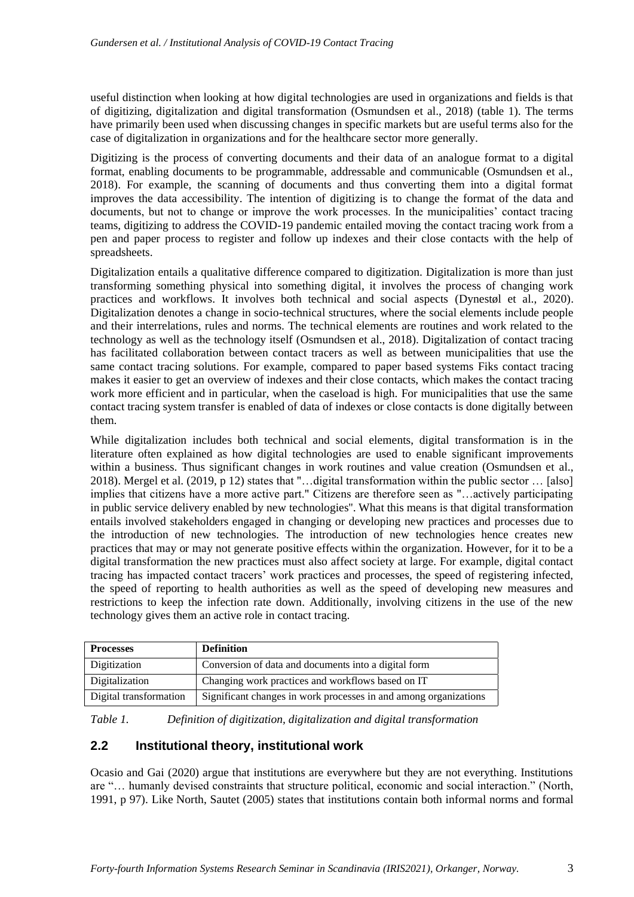useful distinction when looking at how digital technologies are used in organizations and fields is that of digitizing, digitalization and digital transformation (Osmundsen et al., 2018) (table 1). The terms have primarily been used when discussing changes in specific markets but are useful terms also for the case of digitalization in organizations and for the healthcare sector more generally.

Digitizing is the process of converting documents and their data of an analogue format to a digital format, enabling documents to be programmable, addressable and communicable (Osmundsen et al., 2018). For example, the scanning of documents and thus converting them into a digital format improves the data accessibility. The intention of digitizing is to change the format of the data and documents, but not to change or improve the work processes. In the municipalities' contact tracing teams, digitizing to address the COVID-19 pandemic entailed moving the contact tracing work from a pen and paper process to register and follow up indexes and their close contacts with the help of spreadsheets.

Digitalization entails a qualitative difference compared to digitization. Digitalization is more than just transforming something physical into something digital, it involves the process of changing work practices and workflows. It involves both technical and social aspects (Dynestøl et al., 2020). Digitalization denotes a change in socio-technical structures, where the social elements include people and their interrelations, rules and norms. The technical elements are routines and work related to the technology as well as the technology itself (Osmundsen et al., 2018). Digitalization of contact tracing has facilitated collaboration between contact tracers as well as between municipalities that use the same contact tracing solutions. For example, compared to paper based systems Fiks contact tracing makes it easier to get an overview of indexes and their close contacts, which makes the contact tracing work more efficient and in particular, when the caseload is high. For municipalities that use the same contact tracing system transfer is enabled of data of indexes or close contacts is done digitally between them.

While digitalization includes both technical and social elements, digital transformation is in the literature often explained as how digital technologies are used to enable significant improvements within a business. Thus significant changes in work routines and value creation (Osmundsen et al., 2018). Mergel et al. (2019, p 12) states that "…digital transformation within the public sector … [also] implies that citizens have a more active part." Citizens are therefore seen as "…actively participating in public service delivery enabled by new technologies''. What this means is that digital transformation entails involved stakeholders engaged in changing or developing new practices and processes due to the introduction of new technologies. The introduction of new technologies hence creates new practices that may or may not generate positive effects within the organization. However, for it to be a digital transformation the new practices must also affect society at large. For example, digital contact tracing has impacted contact tracers' work practices and processes, the speed of registering infected, the speed of reporting to health authorities as well as the speed of developing new measures and restrictions to keep the infection rate down. Additionally, involving citizens in the use of the new technology gives them an active role in contact tracing.

| <b>Processes</b>       | <b>Definition</b>                                                |  |
|------------------------|------------------------------------------------------------------|--|
| Digitization           | Conversion of data and documents into a digital form             |  |
| Digitalization         | Changing work practices and workflows based on IT                |  |
| Digital transformation | Significant changes in work processes in and among organizations |  |

*Table 1. Definition of digitization, digitalization and digital transformation*

#### **2.2 Institutional theory, institutional work**

Ocasio and Gai (2020) argue that institutions are everywhere but they are not everything. Institutions are "… humanly devised constraints that structure political, economic and social interaction." (North, 1991, p 97). Like North, Sautet (2005) states that institutions contain both informal norms and formal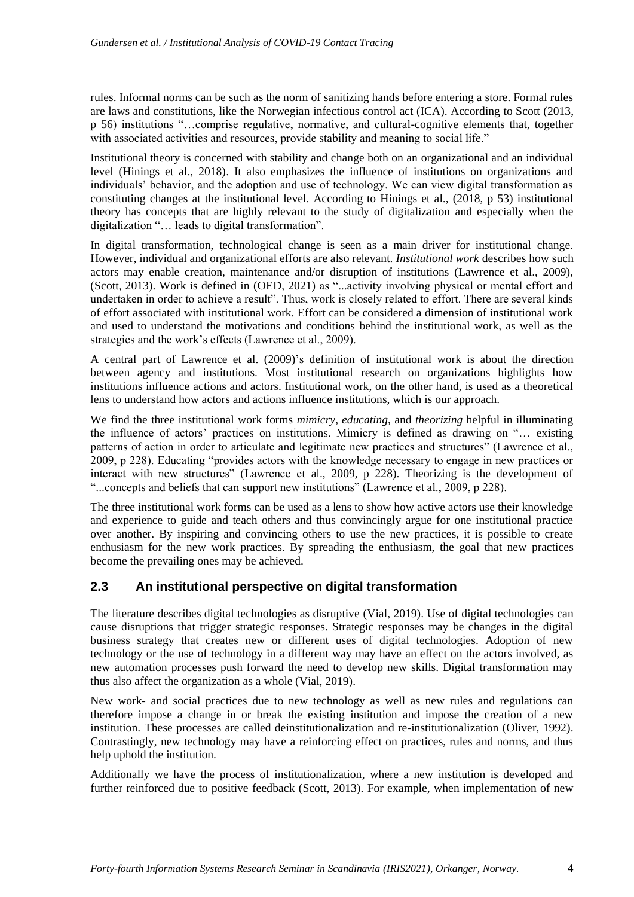rules. Informal norms can be such as the norm of sanitizing hands before entering a store. Formal rules are laws and constitutions, like the Norwegian infectious control act (ICA). According to Scott (2013, p 56) institutions "…comprise regulative, normative, and cultural-cognitive elements that, together with associated activities and resources, provide stability and meaning to social life."

Institutional theory is concerned with stability and change both on an organizational and an individual level (Hinings et al., 2018). It also emphasizes the influence of institutions on organizations and individuals' behavior, and the adoption and use of technology. We can view digital transformation as constituting changes at the institutional level. According to Hinings et al., (2018, p 53) institutional theory has concepts that are highly relevant to the study of digitalization and especially when the digitalization "… leads to digital transformation".

In digital transformation, technological change is seen as a main driver for institutional change. However, individual and organizational efforts are also relevant. *Institutional work* describes how such actors may enable creation, maintenance and/or disruption of institutions (Lawrence et al., 2009), (Scott, 2013). Work is defined in (OED, 2021) as "...activity involving physical or mental effort and undertaken in order to achieve a result". Thus, work is closely related to effort. There are several kinds of effort associated with institutional work. Effort can be considered a dimension of institutional work and used to understand the motivations and conditions behind the institutional work, as well as the strategies and the work's effects (Lawrence et al., 2009).

A central part of Lawrence et al. (2009)'s definition of institutional work is about the direction between agency and institutions. Most institutional research on organizations highlights how institutions influence actions and actors. Institutional work, on the other hand, is used as a theoretical lens to understand how actors and actions influence institutions, which is our approach.

We find the three institutional work forms *mimicry*, *educating*, and *theorizing* helpful in illuminating the influence of actors' practices on institutions. Mimicry is defined as drawing on "… existing patterns of action in order to articulate and legitimate new practices and structures" (Lawrence et al., 2009, p 228). Educating "provides actors with the knowledge necessary to engage in new practices or interact with new structures" (Lawrence et al., 2009, p 228). Theorizing is the development of "...concepts and beliefs that can support new institutions" (Lawrence et al., 2009, p 228).

The three institutional work forms can be used as a lens to show how active actors use their knowledge and experience to guide and teach others and thus convincingly argue for one institutional practice over another. By inspiring and convincing others to use the new practices, it is possible to create enthusiasm for the new work practices. By spreading the enthusiasm, the goal that new practices become the prevailing ones may be achieved.

#### **2.3 An institutional perspective on digital transformation**

The literature describes digital technologies as disruptive (Vial, 2019). Use of digital technologies can cause disruptions that trigger strategic responses. Strategic responses may be changes in the digital business strategy that creates new or different uses of digital technologies. Adoption of new technology or the use of technology in a different way may have an effect on the actors involved, as new automation processes push forward the need to develop new skills. Digital transformation may thus also affect the organization as a whole (Vial, 2019).

New work- and social practices due to new technology as well as new rules and regulations can therefore impose a change in or break the existing institution and impose the creation of a new institution. These processes are called deinstitutionalization and re-institutionalization (Oliver, 1992). Contrastingly, new technology may have a reinforcing effect on practices, rules and norms, and thus help uphold the institution.

Additionally we have the process of institutionalization, where a new institution is developed and further reinforced due to positive feedback (Scott, 2013). For example, when implementation of new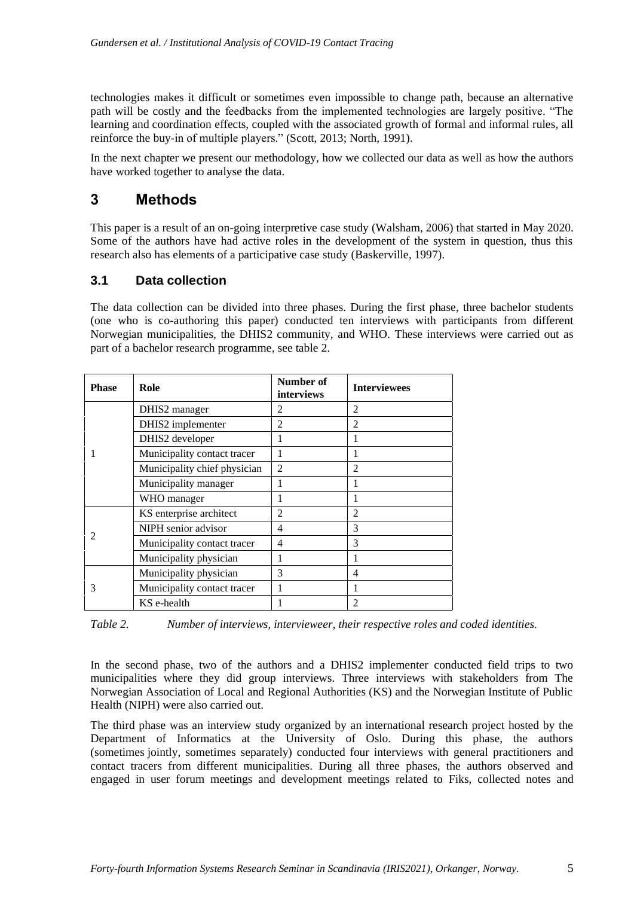technologies makes it difficult or sometimes even impossible to change path, because an alternative path will be costly and the feedbacks from the implemented technologies are largely positive. "The learning and coordination effects, coupled with the associated growth of formal and informal rules, all reinforce the buy-in of multiple players." (Scott, 2013; North, 1991).

In the next chapter we present our methodology, how we collected our data as well as how the authors have worked together to analyse the data.

### **3 Methods**

This paper is a result of an on-going interpretive case study (Walsham, 2006) that started in May 2020. Some of the authors have had active roles in the development of the system in question, thus this research also has elements of a participative case study (Baskerville, 1997).

#### **3.1 Data collection**

The data collection can be divided into three phases. During the first phase, three bachelor students (one who is co-authoring this paper) conducted ten interviews with participants from different Norwegian municipalities, the DHIS2 community, and WHO. These interviews were carried out as part of a bachelor research programme, see table 2.

| <b>Phase</b> | Role                         | Number of<br>interviews | <b>Interviewees</b> |
|--------------|------------------------------|-------------------------|---------------------|
|              | DHIS2 manager                | 2                       | $\mathcal{D}$       |
|              | DHIS2 implementer            | 2                       | $\overline{2}$      |
|              | DHIS2 developer              |                         |                     |
|              | Municipality contact tracer  |                         |                     |
|              | Municipality chief physician | $\overline{2}$          | $\overline{2}$      |
|              | Municipality manager         |                         |                     |
|              | WHO manager                  |                         |                     |
|              | KS enterprise architect      | 2                       | $\overline{2}$      |
|              | NIPH senior advisor          | 4                       | 3                   |
|              | Municipality contact tracer  | 4                       | 3                   |
|              | Municipality physician       |                         | 1                   |
| 3            | Municipality physician       | 3                       | 4                   |
|              | Municipality contact tracer  |                         |                     |
|              | KS e-health                  |                         | 2                   |

*Table 2. Number of interviews, intervieweer, their respective roles and coded identities.*

In the second phase, two of the authors and a DHIS2 implementer conducted field trips to two municipalities where they did group interviews. Three interviews with stakeholders from The Norwegian Association of Local and Regional Authorities (KS) and the Norwegian Institute of Public Health (NIPH) were also carried out.

The third phase was an interview study organized by an international research project hosted by the Department of Informatics at the University of Oslo. During this phase, the authors (sometimes jointly, sometimes separately) conducted four interviews with general practitioners and contact tracers from different municipalities. During all three phases, the authors observed and engaged in user forum meetings and development meetings related to Fiks, collected notes and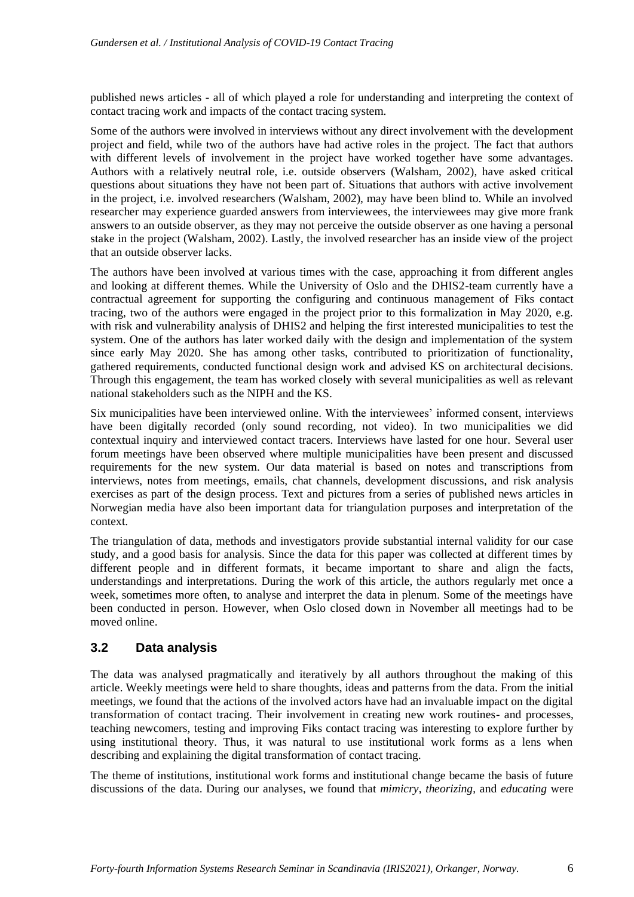published news articles - all of which played a role for understanding and interpreting the context of contact tracing work and impacts of the contact tracing system.

Some of the authors were involved in interviews without any direct involvement with the development project and field, while two of the authors have had active roles in the project. The fact that authors with different levels of involvement in the project have worked together have some advantages. Authors with a relatively neutral role, i.e. outside observers (Walsham, 2002), have asked critical questions about situations they have not been part of. Situations that authors with active involvement in the project, i.e. involved researchers (Walsham, 2002), may have been blind to. While an involved researcher may experience guarded answers from interviewees, the interviewees may give more frank answers to an outside observer, as they may not perceive the outside observer as one having a personal stake in the project (Walsham, 2002). Lastly, the involved researcher has an inside view of the project that an outside observer lacks.

The authors have been involved at various times with the case, approaching it from different angles and looking at different themes. While the University of Oslo and the DHIS2-team currently have a contractual agreement for supporting the configuring and continuous management of Fiks contact tracing, two of the authors were engaged in the project prior to this formalization in May 2020, e.g. with risk and vulnerability analysis of DHIS2 and helping the first interested municipalities to test the system. One of the authors has later worked daily with the design and implementation of the system since early May 2020. She has among other tasks, contributed to prioritization of functionality, gathered requirements, conducted functional design work and advised KS on architectural decisions. Through this engagement, the team has worked closely with several municipalities as well as relevant national stakeholders such as the NIPH and the KS.

Six municipalities have been interviewed online. With the interviewees' informed consent, interviews have been digitally recorded (only sound recording, not video). In two municipalities we did contextual inquiry and interviewed contact tracers. Interviews have lasted for one hour. Several user forum meetings have been observed where multiple municipalities have been present and discussed requirements for the new system. Our data material is based on notes and transcriptions from interviews, notes from meetings, emails, chat channels, development discussions, and risk analysis exercises as part of the design process. Text and pictures from a series of published news articles in Norwegian media have also been important data for triangulation purposes and interpretation of the context.

The triangulation of data, methods and investigators provide substantial internal validity for our case study, and a good basis for analysis. Since the data for this paper was collected at different times by different people and in different formats, it became important to share and align the facts, understandings and interpretations. During the work of this article, the authors regularly met once a week, sometimes more often, to analyse and interpret the data in plenum. Some of the meetings have been conducted in person. However, when Oslo closed down in November all meetings had to be moved online.

#### **3.2 Data analysis**

The data was analysed pragmatically and iteratively by all authors throughout the making of this article. Weekly meetings were held to share thoughts, ideas and patterns from the data. From the initial meetings, we found that the actions of the involved actors have had an invaluable impact on the digital transformation of contact tracing. Their involvement in creating new work routines- and processes, teaching newcomers, testing and improving Fiks contact tracing was interesting to explore further by using institutional theory. Thus, it was natural to use institutional work forms as a lens when describing and explaining the digital transformation of contact tracing.

The theme of institutions, institutional work forms and institutional change became the basis of future discussions of the data. During our analyses, we found that *mimicry*, *theorizing*, and *educating* were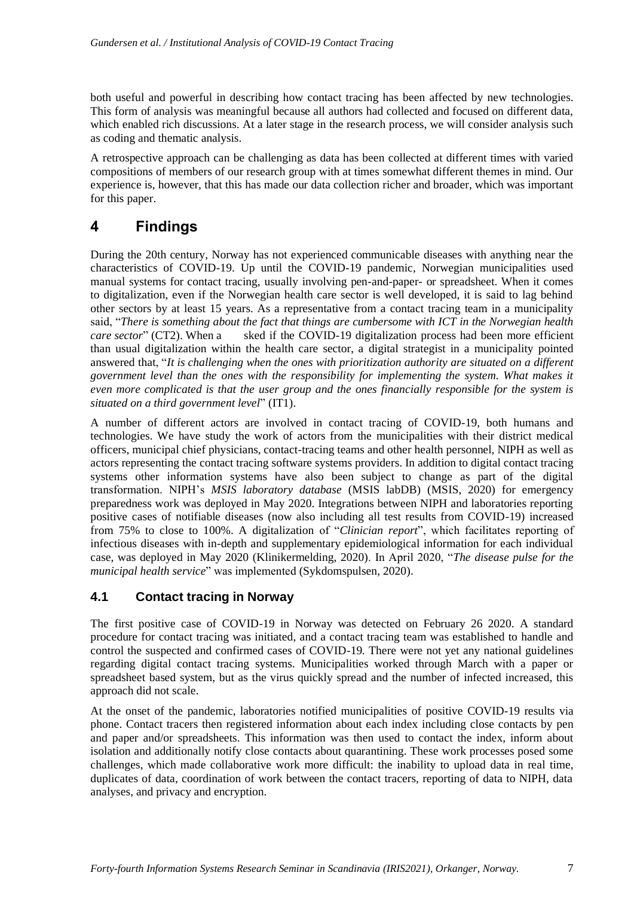both useful and powerful in describing how contact tracing has been affected by new technologies. This form of analysis was meaningful because all authors had collected and focused on different data, which enabled rich discussions. At a later stage in the research process, we will consider analysis such as coding and thematic analysis.

A retrospective approach can be challenging as data has been collected at different times with varied compositions of members of our research group with at times somewhat different themes in mind. Our experience is, however, that this has made our data collection richer and broader, which was important for this paper.

### **4 Findings**

During the 20th century, Norway has not experienced communicable diseases with anything near the characteristics of COVID-19. Up until the COVID-19 pandemic, Norwegian municipalities used manual systems for contact tracing, usually involving pen-and-paper- or spreadsheet. When it comes to digitalization, even if the Norwegian health care sector is well developed, it is said to lag behind other sectors by at least 15 years. As a representative from a contact tracing team in a municipality said, "*There is something about the fact that things are cumbersome with ICT in the Norwegian health care sector*" (CT2). When a sked if the COVID-19 digitalization process had been more efficient than usual digitalization within the health care sector, a digital strategist in a municipality pointed answered that, "*It is challenging when the ones with prioritization authority are situated on a different government level than the ones with the responsibility for implementing the system. What makes it even more complicated is that the user group and the ones financially responsible for the system is situated on a third government level*" (IT1).

A number of different actors are involved in contact tracing of COVID-19, both humans and technologies. We have study the work of actors from the municipalities with their district medical officers, municipal chief physicians, contact-tracing teams and other health personnel, NIPH as well as actors representing the contact tracing software systems providers. In addition to digital contact tracing systems other information systems have also been subject to change as part of the digital transformation. NIPH's *MSIS laboratory database* (MSIS labDB) (MSIS, 2020) for emergency preparedness work was deployed in May 2020. Integrations between NIPH and laboratories reporting positive cases of notifiable diseases (now also including all test results from COVID-19) increased from 75% to close to 100%. A digitalization of "*Clinician report*", which facilitates reporting of infectious diseases with in-depth and supplementary epidemiological information for each individual case, was deployed in May 2020 (Klinikermelding, 2020). In April 2020, "*The disease pulse for the municipal health service*" was implemented (Sykdomspulsen, 2020).

#### **4.1 Contact tracing in Norway**

The first positive case of COVID-19 in Norway was detected on February 26 2020. A standard procedure for contact tracing was initiated, and a contact tracing team was established to handle and control the suspected and confirmed cases of COVID-19. There were not yet any national guidelines regarding digital contact tracing systems. Municipalities worked through March with a paper or spreadsheet based system, but as the virus quickly spread and the number of infected increased, this approach did not scale.

At the onset of the pandemic, laboratories notified municipalities of positive COVID-19 results via phone. Contact tracers then registered information about each index including close contacts by pen and paper and/or spreadsheets. This information was then used to contact the index, inform about isolation and additionally notify close contacts about quarantining. These work processes posed some challenges, which made collaborative work more difficult: the inability to upload data in real time, duplicates of data, coordination of work between the contact tracers, reporting of data to NIPH, data analyses, and privacy and encryption.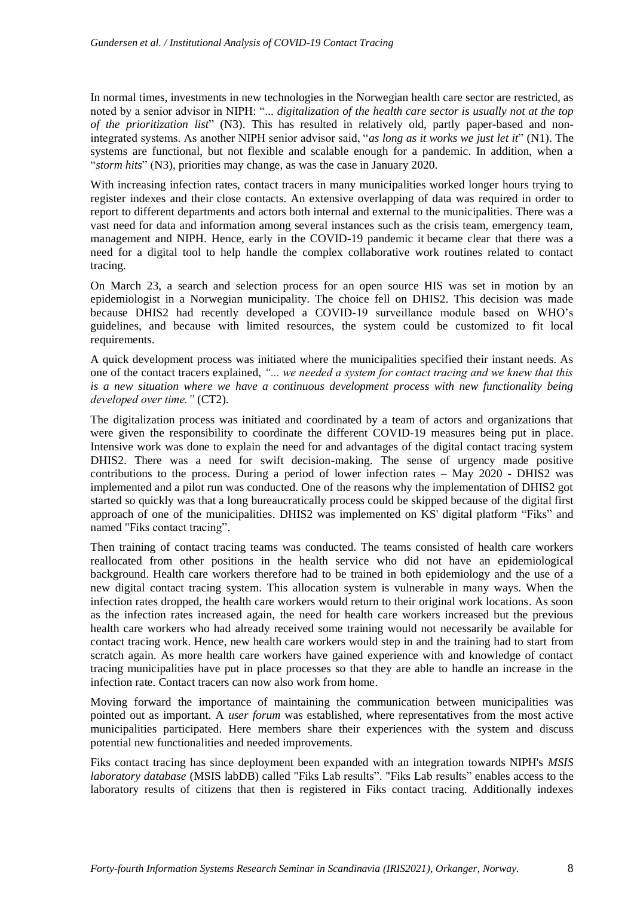In normal times, investments in new technologies in the Norwegian health care sector are restricted, as noted by a senior advisor in NIPH: "... *digitalization of the health care sector is usually not at the top of the prioritization list*" (N3). This has resulted in relatively old, partly paper-based and nonintegrated systems. As another NIPH senior advisor said, "*as long as it works we just let it*" (N1). The systems are functional, but not flexible and scalable enough for a pandemic. In addition, when a "*storm hits*" (N3), priorities may change, as was the case in January 2020.

With increasing infection rates, contact tracers in many municipalities worked longer hours trying to register indexes and their close contacts. An extensive overlapping of data was required in order to report to different departments and actors both internal and external to the municipalities. There was a vast need for data and information among several instances such as the crisis team, emergency team, management and NIPH. Hence, early in the COVID-19 pandemic it became clear that there was a need for a digital tool to help handle the complex collaborative work routines related to contact tracing.

On March 23, a search and selection process for an open source HIS was set in motion by an epidemiologist in a Norwegian municipality. The choice fell on DHIS2. This decision was made because DHIS2 had recently developed a COVID-19 surveillance module based on WHO's guidelines, and because with limited resources, the system could be customized to fit local requirements.

A quick development process was initiated where the municipalities specified their instant needs. As one of the contact tracers explained, *"... we needed a system for contact tracing and we knew that this is a new situation where we have a continuous development process with new functionality being developed over time."* (CT2).

The digitalization process was initiated and coordinated by a team of actors and organizations that were given the responsibility to coordinate the different COVID-19 measures being put in place. Intensive work was done to explain the need for and advantages of the digital contact tracing system DHIS2. There was a need for swift decision-making. The sense of urgency made positive contributions to the process. During a period of lower infection rates – May  $2020$  - DHIS2 was implemented and a pilot run was conducted. One of the reasons why the implementation of DHIS2 got started so quickly was that a long bureaucratically process could be skipped because of the digital first approach of one of the municipalities. DHIS2 was implemented on KS' digital platform "Fiks" and named "Fiks contact tracing".

Then training of contact tracing teams was conducted. The teams consisted of health care workers reallocated from other positions in the health service who did not have an epidemiological background. Health care workers therefore had to be trained in both epidemiology and the use of a new digital contact tracing system. This allocation system is vulnerable in many ways. When the infection rates dropped, the health care workers would return to their original work locations. As soon as the infection rates increased again, the need for health care workers increased but the previous health care workers who had already received some training would not necessarily be available for contact tracing work. Hence, new health care workers would step in and the training had to start from scratch again. As more health care workers have gained experience with and knowledge of contact tracing municipalities have put in place processes so that they are able to handle an increase in the infection rate. Contact tracers can now also work from home.

Moving forward the importance of maintaining the communication between municipalities was pointed out as important. A *user forum* was established, where representatives from the most active municipalities participated. Here members share their experiences with the system and discuss potential new functionalities and needed improvements.

Fiks contact tracing has since deployment been expanded with an integration towards NIPH's *MSIS laboratory database* (MSIS labDB) called "Fiks Lab results". "Fiks Lab results" enables access to the laboratory results of citizens that then is registered in Fiks contact tracing. Additionally indexes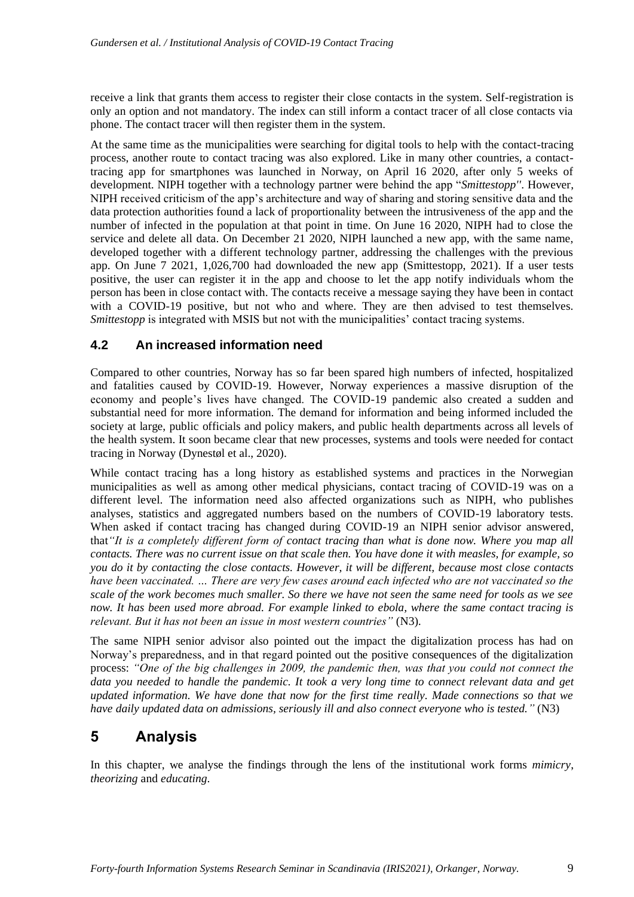receive a link that grants them access to register their close contacts in the system. Self-registration is only an option and not mandatory. The index can still inform a contact tracer of all close contacts via phone. The contact tracer will then register them in the system.

At the same time as the municipalities were searching for digital tools to help with the contact-tracing process, another route to contact tracing was also explored. Like in many other countries, a contacttracing app for smartphones was launched in Norway, on April 16 2020, after only 5 weeks of development. NIPH together with a technology partner were behind the app "*Smittestopp''*. However, NIPH received criticism of the app's architecture and way of sharing and storing sensitive data and the data protection authorities found a lack of proportionality between the intrusiveness of the app and the number of infected in the population at that point in time. On June 16 2020, NIPH had to close the service and delete all data. On December 21 2020, NIPH launched a new app, with the same name, developed together with a different technology partner, addressing the challenges with the previous app. On June 7 2021, 1,026,700 had downloaded the new app (Smittestopp, 2021). If a user tests positive, the user can register it in the app and choose to let the app notify individuals whom the person has been in close contact with. The contacts receive a message saying they have been in contact with a COVID-19 positive, but not who and where. They are then advised to test themselves. *Smittestopp* is integrated with MSIS but not with the municipalities' contact tracing systems.

### **4.2 An increased information need**

Compared to other countries, Norway has so far been spared high numbers of infected, hospitalized and fatalities caused by COVID-19. However, Norway experiences a massive disruption of the economy and people's lives have changed. The COVID-19 pandemic also created a sudden and substantial need for more information. The demand for information and being informed included the society at large, public officials and policy makers, and public health departments across all levels of the health system. It soon became clear that new processes, systems and tools were needed for contact tracing in Norway (Dynestøl et al., 2020).

While contact tracing has a long history as established systems and practices in the Norwegian municipalities as well as among other medical physicians, contact tracing of COVID-19 was on a different level. The information need also affected organizations such as NIPH, who publishes analyses, statistics and aggregated numbers based on the numbers of COVID-19 laboratory tests. When asked if contact tracing has changed during COVID-19 an NIPH senior advisor answered, that*"It is a completely different form of contact tracing than what is done now. Where you map all contacts. There was no current issue on that scale then. You have done it with measles, for example, so you do it by contacting the close contacts. However, it will be different, because most close contacts have been vaccinated. … There are very few cases around each infected who are not vaccinated so the scale of the work becomes much smaller. So there we have not seen the same need for tools as we see now. It has been used more abroad. For example linked to ebola, where the same contact tracing is relevant. But it has not been an issue in most western countries"* (N3)*.*

The same NIPH senior advisor also pointed out the impact the digitalization process has had on Norway's preparedness, and in that regard pointed out the positive consequences of the digitalization process: *"One of the big challenges in 2009, the pandemic then, was that you could not connect the data you needed to handle the pandemic. It took a very long time to connect relevant data and get updated information. We have done that now for the first time really. Made connections so that we have daily updated data on admissions, seriously ill and also connect everyone who is tested."* (N3)

### **5 Analysis**

In this chapter, we analyse the findings through the lens of the institutional work forms *mimicry*, *theorizing* and *educating*.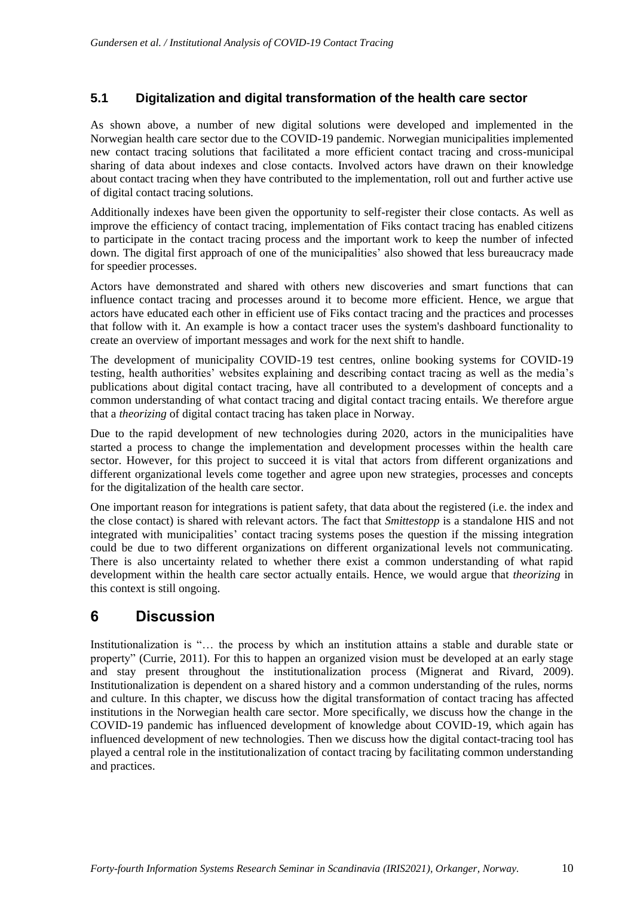#### **5.1 Digitalization and digital transformation of the health care sector**

As shown above, a number of new digital solutions were developed and implemented in the Norwegian health care sector due to the COVID-19 pandemic. Norwegian municipalities implemented new contact tracing solutions that facilitated a more efficient contact tracing and cross-municipal sharing of data about indexes and close contacts. Involved actors have drawn on their knowledge about contact tracing when they have contributed to the implementation, roll out and further active use of digital contact tracing solutions.

Additionally indexes have been given the opportunity to self-register their close contacts. As well as improve the efficiency of contact tracing, implementation of Fiks contact tracing has enabled citizens to participate in the contact tracing process and the important work to keep the number of infected down. The digital first approach of one of the municipalities' also showed that less bureaucracy made for speedier processes.

Actors have demonstrated and shared with others new discoveries and smart functions that can influence contact tracing and processes around it to become more efficient. Hence, we argue that actors have educated each other in efficient use of Fiks contact tracing and the practices and processes that follow with it. An example is how a contact tracer uses the system's dashboard functionality to create an overview of important messages and work for the next shift to handle.

The development of municipality COVID-19 test centres, online booking systems for COVID-19 testing, health authorities' websites explaining and describing contact tracing as well as the media's publications about digital contact tracing, have all contributed to a development of concepts and a common understanding of what contact tracing and digital contact tracing entails. We therefore argue that a *theorizing* of digital contact tracing has taken place in Norway.

Due to the rapid development of new technologies during 2020, actors in the municipalities have started a process to change the implementation and development processes within the health care sector. However, for this project to succeed it is vital that actors from different organizations and different organizational levels come together and agree upon new strategies, processes and concepts for the digitalization of the health care sector.

One important reason for integrations is patient safety, that data about the registered (i.e. the index and the close contact) is shared with relevant actors. The fact that *Smittestopp* is a standalone HIS and not integrated with municipalities' contact tracing systems poses the question if the missing integration could be due to two different organizations on different organizational levels not communicating. There is also uncertainty related to whether there exist a common understanding of what rapid development within the health care sector actually entails. Hence, we would argue that *theorizing* in this context is still ongoing.

### **6 Discussion**

Institutionalization is "… the process by which an institution attains a stable and durable state or property" (Currie, 2011). For this to happen an organized vision must be developed at an early stage and stay present throughout the institutionalization process (Mignerat and Rivard, 2009). Institutionalization is dependent on a shared history and a common understanding of the rules, norms and culture. In this chapter, we discuss how the digital transformation of contact tracing has affected institutions in the Norwegian health care sector. More specifically, we discuss how the change in the COVID-19 pandemic has influenced development of knowledge about COVID-19, which again has influenced development of new technologies. Then we discuss how the digital contact-tracing tool has played a central role in the institutionalization of contact tracing by facilitating common understanding and practices.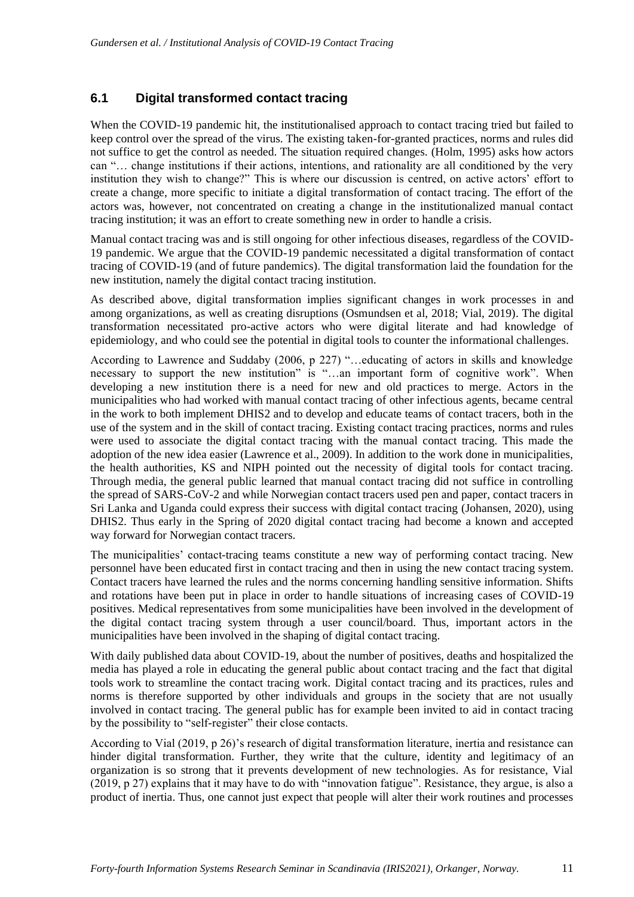#### **6.1 Digital transformed contact tracing**

When the COVID-19 pandemic hit, the institutionalised approach to contact tracing tried but failed to keep control over the spread of the virus. The existing taken-for-granted practices, norms and rules did not suffice to get the control as needed. The situation required changes. (Holm, 1995) asks how actors can "… change institutions if their actions, intentions, and rationality are all conditioned by the very institution they wish to change?" This is where our discussion is centred, on active actors' effort to create a change, more specific to initiate a digital transformation of contact tracing. The effort of the actors was, however, not concentrated on creating a change in the institutionalized manual contact tracing institution; it was an effort to create something new in order to handle a crisis.

Manual contact tracing was and is still ongoing for other infectious diseases, regardless of the COVID-19 pandemic. We argue that the COVID-19 pandemic necessitated a digital transformation of contact tracing of COVID-19 (and of future pandemics). The digital transformation laid the foundation for the new institution, namely the digital contact tracing institution.

As described above, digital transformation implies significant changes in work processes in and among organizations, as well as creating disruptions (Osmundsen et al, 2018; Vial, 2019). The digital transformation necessitated pro-active actors who were digital literate and had knowledge of epidemiology, and who could see the potential in digital tools to counter the informational challenges.

According to Lawrence and Suddaby (2006, p 227) "…educating of actors in skills and knowledge necessary to support the new institution" is "...an important form of cognitive work". When developing a new institution there is a need for new and old practices to merge. Actors in the municipalities who had worked with manual contact tracing of other infectious agents, became central in the work to both implement DHIS2 and to develop and educate teams of contact tracers, both in the use of the system and in the skill of contact tracing. Existing contact tracing practices, norms and rules were used to associate the digital contact tracing with the manual contact tracing. This made the adoption of the new idea easier (Lawrence et al., 2009). In addition to the work done in municipalities, the health authorities, KS and NIPH pointed out the necessity of digital tools for contact tracing. Through media, the general public learned that manual contact tracing did not suffice in controlling the spread of SARS-CoV-2 and while Norwegian contact tracers used pen and paper, contact tracers in Sri Lanka and Uganda could express their success with digital contact tracing (Johansen, 2020), using DHIS2. Thus early in the Spring of 2020 digital contact tracing had become a known and accepted way forward for Norwegian contact tracers.

The municipalities' contact-tracing teams constitute a new way of performing contact tracing. New personnel have been educated first in contact tracing and then in using the new contact tracing system. Contact tracers have learned the rules and the norms concerning handling sensitive information. Shifts and rotations have been put in place in order to handle situations of increasing cases of COVID-19 positives. Medical representatives from some municipalities have been involved in the development of the digital contact tracing system through a user council/board. Thus, important actors in the municipalities have been involved in the shaping of digital contact tracing.

With daily published data about COVID-19, about the number of positives, deaths and hospitalized the media has played a role in educating the general public about contact tracing and the fact that digital tools work to streamline the contact tracing work. Digital contact tracing and its practices, rules and norms is therefore supported by other individuals and groups in the society that are not usually involved in contact tracing. The general public has for example been invited to aid in contact tracing by the possibility to "self-register" their close contacts.

According to Vial (2019, p 26)'s research of digital transformation literature, inertia and resistance can hinder digital transformation. Further, they write that the culture, identity and legitimacy of an organization is so strong that it prevents development of new technologies. As for resistance, Vial (2019, p 27) explains that it may have to do with "innovation fatigue". Resistance, they argue, is also a product of inertia. Thus, one cannot just expect that people will alter their work routines and processes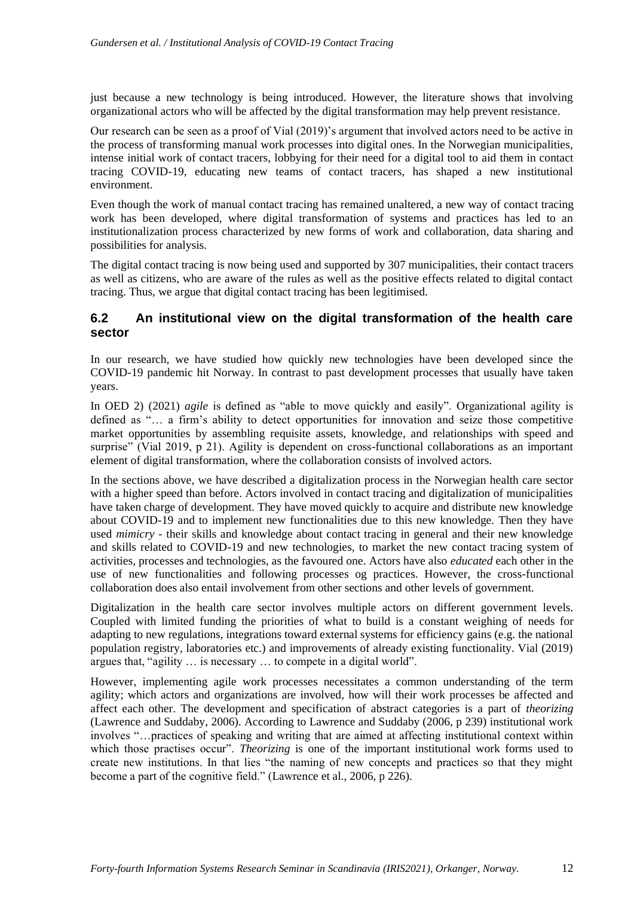just because a new technology is being introduced. However, the literature shows that involving organizational actors who will be affected by the digital transformation may help prevent resistance.

Our research can be seen as a proof of Vial (2019)'s argument that involved actors need to be active in the process of transforming manual work processes into digital ones. In the Norwegian municipalities, intense initial work of contact tracers, lobbying for their need for a digital tool to aid them in contact tracing COVID-19, educating new teams of contact tracers, has shaped a new institutional environment.

Even though the work of manual contact tracing has remained unaltered, a new way of contact tracing work has been developed, where digital transformation of systems and practices has led to an institutionalization process characterized by new forms of work and collaboration, data sharing and possibilities for analysis.

The digital contact tracing is now being used and supported by 307 municipalities, their contact tracers as well as citizens, who are aware of the rules as well as the positive effects related to digital contact tracing. Thus, we argue that digital contact tracing has been legitimised.

#### **6.2 An institutional view on the digital transformation of the health care sector**

In our research, we have studied how quickly new technologies have been developed since the COVID-19 pandemic hit Norway. In contrast to past development processes that usually have taken years.

In OED 2) (2021) *agile* is defined as "able to move quickly and easily". Organizational agility is defined as "… a firm's ability to detect opportunities for innovation and seize those competitive market opportunities by assembling requisite assets, knowledge, and relationships with speed and surprise" (Vial 2019, p 21). Agility is dependent on cross-functional collaborations as an important element of digital transformation, where the collaboration consists of involved actors.

In the sections above, we have described a digitalization process in the Norwegian health care sector with a higher speed than before. Actors involved in contact tracing and digitalization of municipalities have taken charge of development. They have moved quickly to acquire and distribute new knowledge about COVID-19 and to implement new functionalities due to this new knowledge. Then they have used *mimicry* - their skills and knowledge about contact tracing in general and their new knowledge and skills related to COVID-19 and new technologies, to market the new contact tracing system of activities, processes and technologies, as the favoured one. Actors have also *educated* each other in the use of new functionalities and following processes og practices. However, the cross-functional collaboration does also entail involvement from other sections and other levels of government.

Digitalization in the health care sector involves multiple actors on different government levels. Coupled with limited funding the priorities of what to build is a constant weighing of needs for adapting to new regulations, integrations toward external systems for efficiency gains (e.g. the national population registry, laboratories etc.) and improvements of already existing functionality. Vial (2019) argues that, "agility … is necessary … to compete in a digital world".

However, implementing agile work processes necessitates a common understanding of the term agility; which actors and organizations are involved, how will their work processes be affected and affect each other. The development and specification of abstract categories is a part of *theorizing* (Lawrence and Suddaby, 2006). According to Lawrence and Suddaby (2006, p 239) institutional work involves "…practices of speaking and writing that are aimed at affecting institutional context within which those practises occur". *Theorizing* is one of the important institutional work forms used to create new institutions. In that lies "the naming of new concepts and practices so that they might become a part of the cognitive field." (Lawrence et al., 2006, p 226).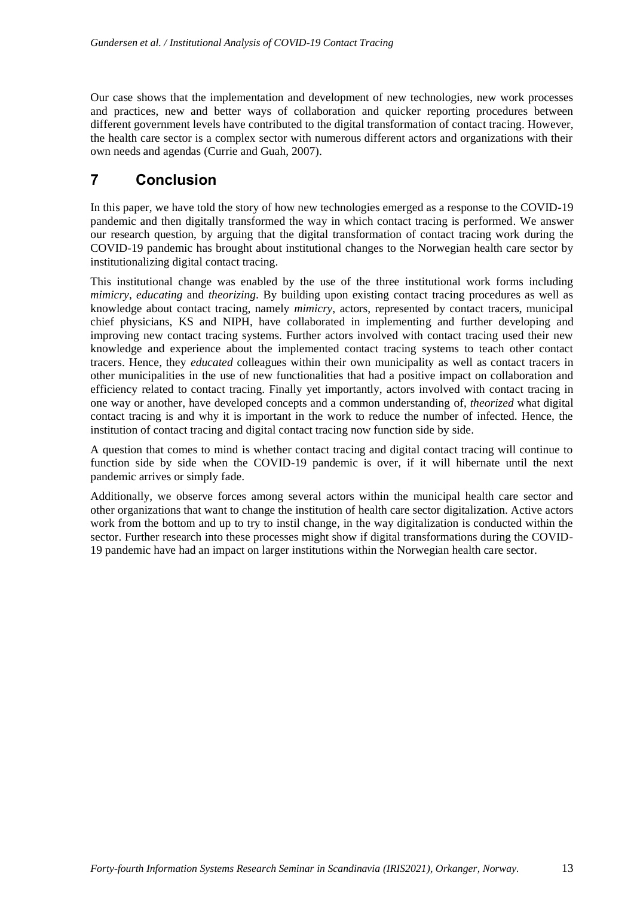Our case shows that the implementation and development of new technologies, new work processes and practices, new and better ways of collaboration and quicker reporting procedures between different government levels have contributed to the digital transformation of contact tracing. However, the health care sector is a complex sector with numerous different actors and organizations with their own needs and agendas (Currie and Guah, 2007).

### **7 Conclusion**

In this paper, we have told the story of how new technologies emerged as a response to the COVID-19 pandemic and then digitally transformed the way in which contact tracing is performed. We answer our research question, by arguing that the digital transformation of contact tracing work during the COVID-19 pandemic has brought about institutional changes to the Norwegian health care sector by institutionalizing digital contact tracing.

This institutional change was enabled by the use of the three institutional work forms including *mimicry*, *educating* and *theorizing*. By building upon existing contact tracing procedures as well as knowledge about contact tracing, namely *mimicry*, actors, represented by contact tracers, municipal chief physicians, KS and NIPH, have collaborated in implementing and further developing and improving new contact tracing systems. Further actors involved with contact tracing used their new knowledge and experience about the implemented contact tracing systems to teach other contact tracers. Hence, they *educated* colleagues within their own municipality as well as contact tracers in other municipalities in the use of new functionalities that had a positive impact on collaboration and efficiency related to contact tracing. Finally yet importantly, actors involved with contact tracing in one way or another, have developed concepts and a common understanding of, *theorized* what digital contact tracing is and why it is important in the work to reduce the number of infected. Hence, the institution of contact tracing and digital contact tracing now function side by side.

A question that comes to mind is whether contact tracing and digital contact tracing will continue to function side by side when the COVID-19 pandemic is over, if it will hibernate until the next pandemic arrives or simply fade.

Additionally, we observe forces among several actors within the municipal health care sector and other organizations that want to change the institution of health care sector digitalization. Active actors work from the bottom and up to try to instil change, in the way digitalization is conducted within the sector. Further research into these processes might show if digital transformations during the COVID-19 pandemic have had an impact on larger institutions within the Norwegian health care sector.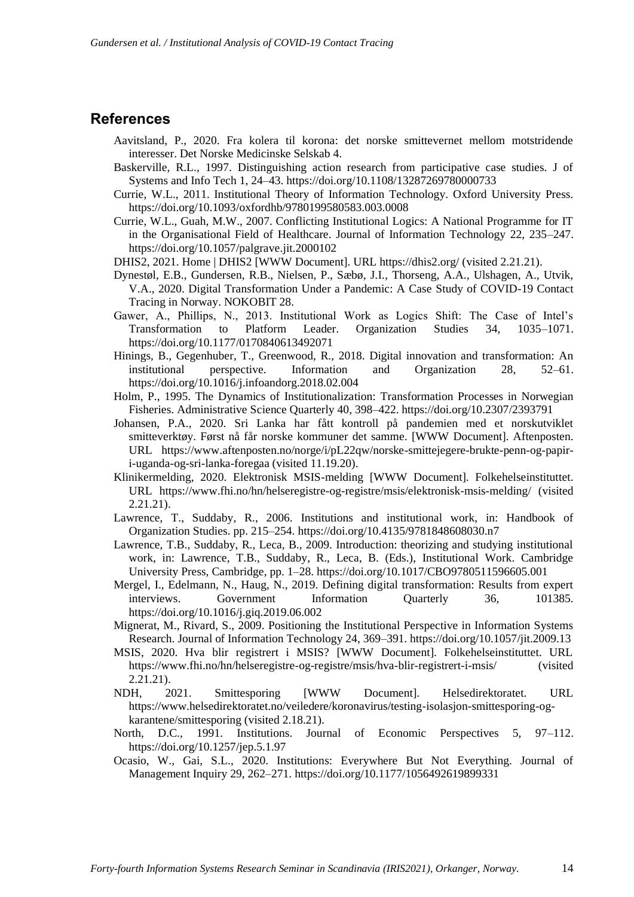#### **References**

- Aavitsland, P., 2020. Fra kolera til korona: det norske smittevernet mellom motstridende interesser. Det Norske Medicinske Selskab 4.
- Baskerville, R.L., 1997. Distinguishing action research from participative case studies. J of Systems and Info Tech 1, 24–43. https://doi.org/10.1108/13287269780000733
- Currie, W.L., 2011. Institutional Theory of Information Technology. Oxford University Press. https://doi.org/10.1093/oxfordhb/9780199580583.003.0008
- Currie, W.L., Guah, M.W., 2007. Conflicting Institutional Logics: A National Programme for IT in the Organisational Field of Healthcare. Journal of Information Technology 22, 235–247. https://doi.org/10.1057/palgrave.jit.2000102
- DHIS2, 2021. Home | DHIS2 [WWW Document]. URL https://dhis2.org/ (visited 2.21.21).
- Dynestøl, E.B., Gundersen, R.B., Nielsen, P., Sæbø, J.I., Thorseng, A.A., Ulshagen, A., Utvik, V.A., 2020. Digital Transformation Under a Pandemic: A Case Study of COVID-19 Contact Tracing in Norway. NOKOBIT 28.
- Gawer, A., Phillips, N., 2013. Institutional Work as Logics Shift: The Case of Intel's Transformation to Platform Leader. Organization Studies 34, 1035–1071. https://doi.org/10.1177/0170840613492071
- Hinings, B., Gegenhuber, T., Greenwood, R., 2018. Digital innovation and transformation: An institutional perspective. Information and Organization 28, 52–61. https://doi.org/10.1016/j.infoandorg.2018.02.004
- Holm, P., 1995. The Dynamics of Institutionalization: Transformation Processes in Norwegian Fisheries. Administrative Science Quarterly 40, 398–422. https://doi.org/10.2307/2393791
- Johansen, P.A., 2020. Sri Lanka har fått kontroll på pandemien med et norskutviklet smitteverktøy. Først nå får norske kommuner det samme. [WWW Document]. Aftenposten. URL https://www.aftenposten.no/norge/i/pL22qw/norske-smittejegere-brukte-penn-og-papiri-uganda-og-sri-lanka-foregaa (visited 11.19.20).
- Klinikermelding, 2020. Elektronisk MSIS-melding [WWW Document]. Folkehelseinstituttet. URL https://www.fhi.no/hn/helseregistre-og-registre/msis/elektronisk-msis-melding/ (visited 2.21.21).
- Lawrence, T., Suddaby, R., 2006. Institutions and institutional work, in: Handbook of Organization Studies. pp. 215–254. https://doi.org/10.4135/9781848608030.n7
- Lawrence, T.B., Suddaby, R., Leca, B., 2009. Introduction: theorizing and studying institutional work, in: Lawrence, T.B., Suddaby, R., Leca, B. (Eds.), Institutional Work. Cambridge University Press, Cambridge, pp. 1–28. https://doi.org/10.1017/CBO9780511596605.001
- Mergel, I., Edelmann, N., Haug, N., 2019. Defining digital transformation: Results from expert interviews. Government Information Quarterly 36, 101385. https://doi.org/10.1016/j.giq.2019.06.002
- Mignerat, M., Rivard, S., 2009. Positioning the Institutional Perspective in Information Systems Research. Journal of Information Technology 24, 369–391. https://doi.org/10.1057/jit.2009.13
- MSIS, 2020. Hva blir registrert i MSIS? [WWW Document]. Folkehelseinstituttet. URL https://www.fhi.no/hn/helseregistre-og-registre/msis/hva-blir-registrert-i-msis/ (visited 2.21.21).
- NDH, 2021. Smittesporing [WWW Document]. Helsedirektoratet. URL https://www.helsedirektoratet.no/veiledere/koronavirus/testing-isolasjon-smittesporing-ogkarantene/smittesporing (visited 2.18.21).
- North, D.C., 1991. Institutions. Journal of Economic Perspectives 5, 97–112. https://doi.org/10.1257/jep.5.1.97
- Ocasio, W., Gai, S.L., 2020. Institutions: Everywhere But Not Everything. Journal of Management Inquiry 29, 262–271. https://doi.org/10.1177/1056492619899331